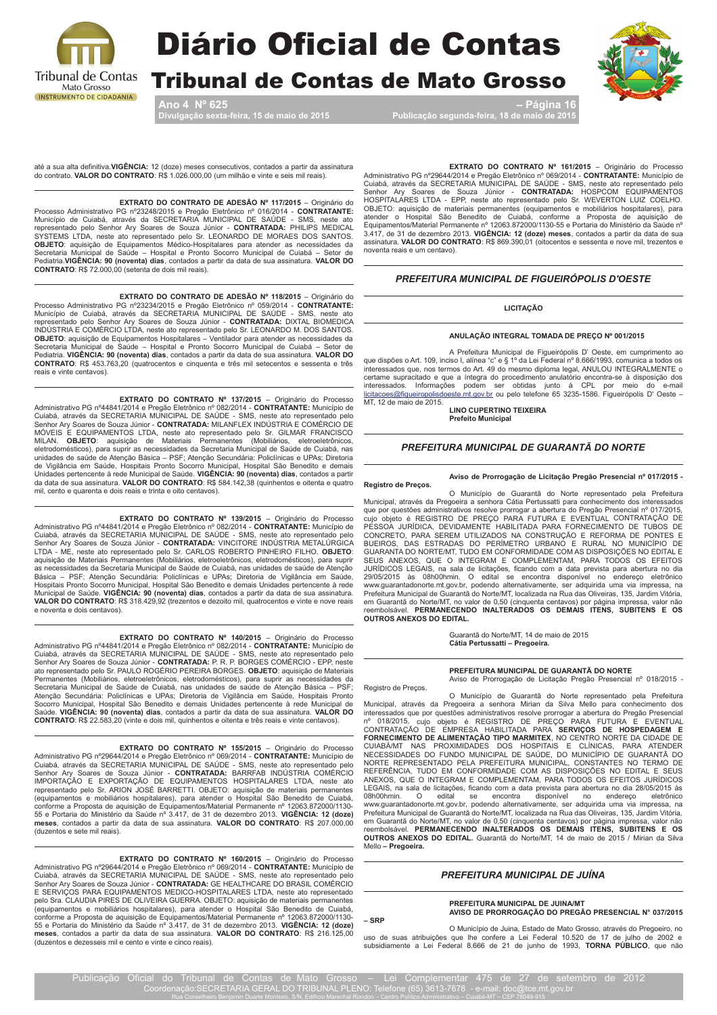

## **Diário Oficial de Contas**

**Tribunal de Contas de Mato Grosso** 

Ano 4  $N^{\circ}$  625 ção sexta-feira, 15 de maio de 2015

Página 16 Publicação segunda-feira, 18 de maio de 20



até a sua alta definitiva. VIGÊNCIA: 12 (doze) meses consecutivos, contados a partir da assinatura do contrato. VALOR DO CONTRATO: R\$ 1.026.000,00 (um milhão e vinte e seis mil reais).

#### EXTRATO DO CONTRATO DE ADESÃO Nº 117/2015 -Originário do

Processo Administrativo PG nº23248/2015 e Pregão Eletrônico nº 016/2014 - CONTRATANTE:<br>Município de Cuiabá, através da SECRETARIA MUNICIPAL DE SAÚDE - SMS, neste ato<br>representado pelo Senhor Ary Soares de Souza Júnior - CO representado pelo Serinor Ary Soares de Soliza Junior - CONTRATADA: FYTILIPS MEDICAL OR SYSTEMS LTDA, neste ato representado pelo Sr. LEONARDO DE MORAES DOS SANTOS.<br>**OBJETO**: aquisição de Equipamentos Médico-Hospitalares p CONTRATO: R\$ 72.000,00 (setenta de dois mil reais).

**EXTRATO DO CONTRATO DE ADESÃO Nº 118/2015** — Originário do Processo Administrativo PG nº23234/2015 e Pregão Eletrônico nº 059/2014 - **CONTRATANTE:**<br>Município de Cuiabá, através da SECRETARIA MUNICIPAL DE SAÚDE - SMS, nest INDÚSTRIA E COMÉRCIO LTDA, neste ato representado pelo Sr. LEONARDO M. DOS SANTOS.<br>**OBJETO**: aquisição de Equipamentos Hospitalares - Ventilador para atender as necessidades da Secretaria Municipal de Saúde - Hospital e Pronto Socorro Municipal de Cuiabá - Setor de Pediatria. VIGÊNCIA: 90 (noventa) dias, contados a partir da data de sua assinatura. VALOR DO CONTRATO: R\$ 453.763,20 (quatrocentos e cinquenta e três mil setecentos e sessenta e três reais e vinte centavos).

EXTRATO DO CONTRATO Nº 137/2015 – Originário do Processo<br>Administrativo PG nº44841/2014 e Pregão Eletrônico nº 082/2014 - CONTRATANTE: Município de<br>Cuiabá, através da SECRETARIA MUNICIPAL DE SAÚDE - SMS, neste ato represen Senhor Ary Soares de Souza Junior - CONTRATADA: MILANFLEX INDUSTRIA LE COMERCIO DE MÓVEIS E QUIPAMENTOS LTDA, neste ato representado pelo Sr. GILMAR FRANCISCO MILAN. OBJETO: aquisição de Materiais Permanentes (Mobiliários, de Vigilância em Saúde, Hospitals Pronto Socorro Municipal, Hospital São Benedito e demais<br>Unidades pertencente à rede Municipal de Saúde. VIGÊNCIA: 90 (noventa) dias, contados a partir da data de sua assinatura. VALOR DO CONTRATO: R\$ 584.142,38 (quinhentos e oitenta e quatro mil, cento e quarenta e dois reais e trinta e oito centavos).

### EXTRATO DO CONTRATO Nº 139/2015 - Originário do Processo

Administrativo PG nº44841/2014 e Pregão Eletrônico nº 082/2014 - CONTRATANTE: Município de<br>Cuiabá, através da SECRETARIA MUNICIPAL DE SAÚDE - SMS, neste ato representado pelo<br>Senhor Ary Soares de Souza Júnior - CONTRATADA: recessidades da Secretaria Municipal de Saúde de Cuiabá, nas unidades de saúde de Atenção as necessidades da Secretaria Municipal de Saúde de Cuiabá, nas unidades de saúde de Atenção Básica – PSF; Atenção Secundária: Policificas e UPAs; Diretoria de Vigilância em Saúde,<br>Hospitais Pronto Socorro Municipal, Hospital São Benedito e demais Unidades pertencente à rede<br>Municipal de Saúde. VIGÊNCIA: 90 (noven VALOR DO CONTRATO: R\$ 318.429,92 (trezentos e dezoito mil, quatrocentos e vinte e nove reais e noventa e dois centavos).

#### EXTRATO DO CONTRATO Nº 140/2015 - Originário do Processo

Administrativo PG nº44841/2014 e Pregão Eletrônico nº 082/2014 - CONTRATANTE: Município de<br>Cuiabá, através da SECRETARIA MUNICIPAL DE SAÚDE - SMS, neste ato representado pelo Senhor Ary Soares de Souza Júnior - CONTRATADA: P. R. P. BORGES COMÉRCIO - EPP, neste ato representado pelo Sr. PAULO ROGÉRIO PEREIRA BORGES. OBJETO: aquisição de Materiais son compositions, electrodechios, electrodechios, electrodechios), para suprir as necessidades da<br>Secretaria Municipal de Saúde de Cuiabá, nas unidades de saúde de Atenção Básica – PSF; Atenção Secundária: Policifricas e UPAs; Diretoria de Vigilância em Saúde, Hospitais Pronto Socorro Municipal, Hospital São Benedito e demais Unidades pertencente à rede Municipal de Saúde. VIGÊNCIA: 90 (noventa) dias, contados a partir da data de sua assinatura. VALOR DO CONTRATO: R\$ 22.583,20 (vinte e dois mil, quinhentos e oitenta e três reais e vinte centavos).

#### EXTRATO DO CONTRATO Nº 155/2015 - Originário do Processo

Administrativo PG n°29644/2014 e Pregão Eletrônico nº 159/2014 - Ornganaro do Processo<br>Cuiabá, através da SECRETARIA MUNICIPAL DE SAÚDE - SMS, neste ato representado pelo<br>Senhor Ary Soares de Souza Júnior - **CONTRATADA:** component a riversion of a Saúde nº Superinterius material retriudient l'Electron de 55 e Portaria do Ministério da Saúde nº 3.417, de 31 de dezembro 2013. VIGÈNCIA: 12 (doze) meses, contados a partir da data de sua assina (duzentos e sete mil reais).

EXTRATO DO CONTRATO Nº 160/2015 - Originário do Processo<br>Administrativo PG nº29644/2014 e Pregão Eletrônico nº 069/2014 - CONTRATANTE: Município de

Cuiabá, através da SECRETARIA MUNICIPAL DE SAÚDE - SMS, neste ato representado pelo<br>Senhor Ary Soares de Souza Júnior - CONTRATADA: GE HEALTHCARE DO BRASIL COMÉRCIO SEI SERVIÇOS PARA EQUIPAMENTOS MEDICO-HOSPITALARES LTDA, neste ato epresentado<br>E SERVIÇOS PARA EQUIPAMENTOS MEDICO-HOSPITALARES LTDA, neste ato representado<br>pelo Sra. CLAUDIA PIRES DE OLIVEIRA GUERRA. OBJETO: aquisição de (equipamentos e mobiliários hospitalares), para atender o Hospital São Benedito de Cuiabá,<br>conforme a Proposta de aquisição de Equipamentos/Material Permanente nº 12063.872000/1130-55 e Portaria do Ministério da Saúde nº 3,417, de 31 de dezembro 2013. VIGÊNCIA: 12 (doze)<br>meses, contados a partir da data de sua assinatura. VALOR DO CONTRATO: R\$ 216.125,00<br>meses, contados a partir da data de sua assina (duzentos e dezesseis mil e cento e vinte e cinco reais)

EXTRATO DO CONTRATO Nº 161/2015 - Originário do Processo Administrativo PG n°29644/2014 e Pregão Elebranco nº 1911/2019 — Originalio do Priocesso<br>Cuiabá, através da SECRETARIA MUNICIPAL DE SAÚDE - SMS, neste ato representado pelo<br>Senhor Ary Soares de Souza Júnior - **CONTRATADA:** n'o-Santa-LARES e Lin-A - Err, insie au rejuestantar peu Si. viez e Louis Colochio.<br>
20 BJETO: aquisição de materiais permanentes (equipamentos e mobiliários hospitalares), para<br>
atender o Hospital São Benedito de Cuiabá, assinatura. VALOR DO CONTRATO: R\$ 869.390,01 (oitocentos e sessenta e nove mil, trezentos e noventa reais e um centavo).

### PREFEITURA MUNICIPAL DE FIGUEIRÓPOLIS D'OESTE

#### **LICITACÃO**

#### ANULAÇÃO INTEGRAL TOMADA DE PREÇO Nº 001/2015

A Prefeitura Municipal de Figueirópolis D'Oeste, em cumprimento ao que dispões o Art. 109, inciso I, alínea "c" e § 1º da Lei Federal nº 8.666/1993, comunica a todos os interessados que, nos termos do Art. 49 do mesmo dipl certame supracitado e que a íntegra do procedimento anulatório encontra-se à disposição dos<br>interessados. Informações podem ser obtidas junto à CPL por meio do e-mail<br>licitacoes@figueiropolisdoeste.mt.gov.br ou pelo telefo MT, 12 de maio de 2015.

**LINO CUPERTINO TEIXEIRA Prefeito Municipal** 

#### PREFEITURA MUNICIPAL DE GUARANTÃ DO NORTE

Registro de Precos.

Aviso de Prorrogação de Licitação Pregão Presencial nº 017/2015 -

Complete de la Prefeitura<br>O Município de Guarantã do Norte representado pela Prefeitura<br>Municipal, através da Pregoeira a senhora Cátia Pertussatti para conhecimento dos interessados Multiplian, altares da Pregistra a Sellindi Catal Petiussau para collitectural do Dregão Presencial nº 017/2015,<br>cujo objeto é REGISTRO DE PREÇO PARA FUTURA E EVENTUAL CONTRATAÇÃO DE<br>PESSOA JURÍDICA, DEVIDAMENTE HABILITADA BUEIROS, DAS ESTRADAS DO PERÍMETRO URBANO E RURAL NO MUNICÍPIO DE GUARANTA DO NORTE/MT, TUDO EM CONFORMIDADE COM AS DISPOSIÇÕES NO EDITAL E GUARANTIA DU NORTEZINA EL COMPLOMIDADE CUM AS DISPUSOS NO EDITALE EN SEUS ANEXOS, QUE O INTEGRAM E COMPLEMENTAM, PARA TODOS OS EFEITOS SURFOROS JURÍDICOS LEGAIS, na sala de licitações, ficando com a data prevista para aber Prefeitura Municipal de Guarantã do Norte/MT, localizada na Rua das Oliveiras, 135, Jardim Vitória, em Guarantã do Norte/MT, no valor de 0,50 (cinquenta centavos) por página impressa, valor não reembolsável. PERMANECENDO I OUTROS ANEXOS DO EDITAL

Guarantã do Norte/MT, 14 de maio de 2015<br>Cátia Pertussatti – Pregoeira.

### PREFEITURA MUNICIPAL DE GUARANTÃ DO NORTE

Registro de Precos.

Aviso de Prorrogação de Licitação Pregão Presencial nº 018/2015 -

O Município de Guarantã do Norte representado pela Prefeitura<br>Municipal, através da Pregoeira a senhora Mirian da Silva Mello para conhecimento dos Multiplexia del por questões administrativos resolve prorrogar a abertura do Pregão Presencial<br>nº 018/2015, cujo objeto é REGISTRO DE PREÇO PARA FUTURA E EVENTUAL<br>CONTRATAÇÃO DE EMPRESA HABILITADA PARA **SERVIÇOS DE HOSPEDA** CUIABÁMIT NAS PROXIMIDADES DOS HOSPITAIS E CLÍNICAS, PARA ATENDER<br>NECESSIDADES DO FUNDO MUNICIPAL DE SAÚDE, DO MUNICÍPIO DE GUARANTÃ DO<br>NORTE REPRESENTADO PELA PREFEITURA MUNICIPAL, CONSTANTES NO TERMO DE REFERÊNCIA, TUDO EM CONFORMIDADE COM AS DISPOSIÇÕES NO EDITAL E SEUS ANEXOS, QUE O INTEGRAM E COMPLEMENTAM, PARA TODOS OS EFEITOS JURÍDICOS LEGAIS, na sala de licitações, ficando com a data prevista para abertura no dia 28/05/2015 às 08h00hmin. O edital se encontra disponível no endereço eletrônico violituorimini. U etiuai se enconiu a usponiver no enterezto entre algunida una via impressa, na<br>Inviviguarantadonorte mitigovibr, podendo alternativamente, ser adquirida uma via impressa, na<br>Prefeitura Municipal de Guaran remotion dividend to Norte/MT, no valor de 0,50 (cinquenta centavos) por página impressa, valor não<br>reembolsável. **PERMANECENDO INALTERADOS OS DEMAIS ITENS, SUBITENS E OS<br>OUTROS ANEXOS DO EDITAL.** Guarantã do Norte/MT, 14 Mello - Pregoeira.

#### PREFEITURA MUNICIPAL DE JUÍNA

#### PREFEITURA MUNICIPAL DE JUINA/MT AVISO DE PRORROGAÇÃO DO PREGÃO PRESENCIAL Nº 037/2015

 $-$ SRP

O Município de Juina, Estado de Mato Grosso, através do Pregoeiro, no uso de suas atribuições que lhe confere a Lei Federal 10.520 de 17 de julho de 2002 e subsidiamente a Lei Federal 8.666 de 21 de junho de 1993, **TORNA P**